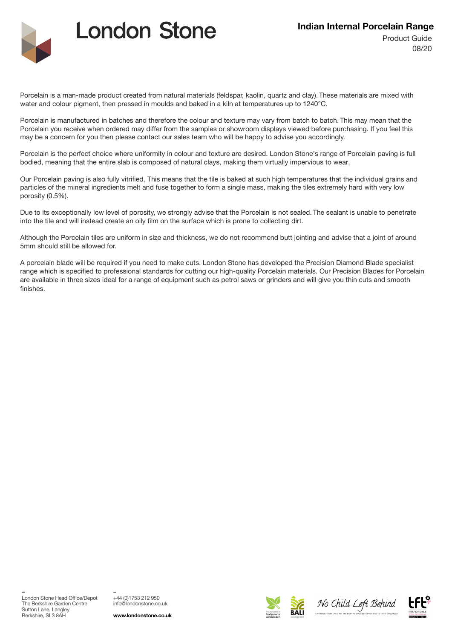

## **London Stone**

Porcelain is a man-made product created from natural materials (feldspar, kaolin, quartz and clay). These materials are mixed with water and colour pigment, then pressed in moulds and baked in a kiln at temperatures up to 1240°C.

Porcelain is manufactured in batches and therefore the colour and texture may vary from batch to batch. This may mean that the Porcelain you receive when ordered may differ from the samples or showroom displays viewed before purchasing. If you feel this may be a concern for you then please contact our sales team who will be happy to advise you accordingly.

Porcelain is the perfect choice where uniformity in colour and texture are desired. London Stone's range of Porcelain paving is full bodied, meaning that the entire slab is composed of natural clays, making them virtually impervious to wear.

Our Porcelain paving is also fully vitrified. This means that the tile is baked at such high temperatures that the individual grains and particles of the mineral ingredients melt and fuse together to form a single mass, making the tiles extremely hard with very low porosity (0.5%).

Due to its exceptionally low level of porosity, we strongly advise that the Porcelain is not sealed. The sealant is unable to penetrate into the tile and will instead create an oily film on the surface which is prone to collecting dirt.

Although the Porcelain tiles are uniform in size and thickness, we do not recommend butt jointing and advise that a joint of around 5mm should still be allowed for.

A porcelain blade will be required if you need to make cuts. London Stone has developed the Precision Diamond Blade specialist range which is specified to professional standards for cutting our high-quality Porcelain materials. Our Precision Blades for Porcelain are available in three sizes ideal for a range of equipment such as petrol saws or grinders and will give you thin cuts and smooth finishes.

\_

\_